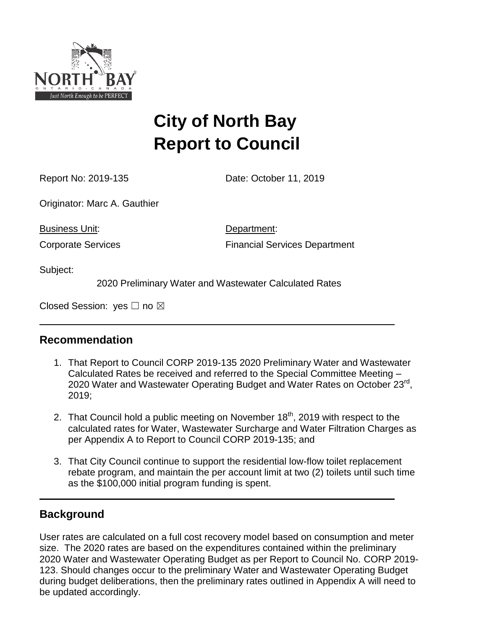

# **City of North Bay Report to Council**

Report No: 2019-135 Date: October 11, 2019

Originator: Marc A. Gauthier

Business Unit: Department:

Corporate Services **Financial Services** Department

Subject:

2020 Preliminary Water and Wastewater Calculated Rates

Closed Session: yes □ no ⊠

# **Recommendation**

- 1. That Report to Council CORP 2019-135 2020 Preliminary Water and Wastewater Calculated Rates be received and referred to the Special Committee Meeting – 2020 Water and Wastewater Operating Budget and Water Rates on October 23<sup>rd</sup>, 2019;
- 2. That Council hold a public meeting on November  $18<sup>th</sup>$ , 2019 with respect to the calculated rates for Water, Wastewater Surcharge and Water Filtration Charges as per Appendix A to Report to Council CORP 2019-135; and
- 3. That City Council continue to support the residential low-flow toilet replacement rebate program, and maintain the per account limit at two (2) toilets until such time as the \$100,000 initial program funding is spent.

# **Background**

User rates are calculated on a full cost recovery model based on consumption and meter size. The 2020 rates are based on the expenditures contained within the preliminary 2020 Water and Wastewater Operating Budget as per Report to Council No. CORP 2019- 123. Should changes occur to the preliminary Water and Wastewater Operating Budget during budget deliberations, then the preliminary rates outlined in Appendix A will need to be updated accordingly.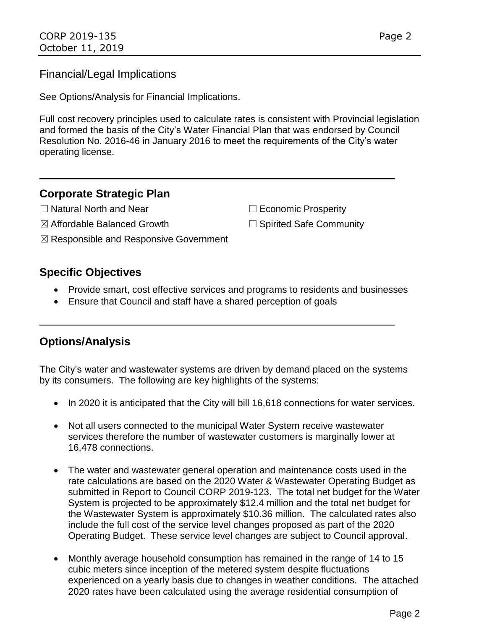#### Financial/Legal Implications

See Options/Analysis for Financial Implications.

Full cost recovery principles used to calculate rates is consistent with Provincial legislation and formed the basis of the City's Water Financial Plan that was endorsed by Council Resolution No. 2016-46 in January 2016 to meet the requirements of the City's water operating license.

#### **Corporate Strategic Plan**

- ☐ Natural North and Near ☐ Economic Prosperity
- ☒ Affordable Balanced Growth ☐ Spirited Safe Community
- ☒ Responsible and Responsive Government

#### **Specific Objectives**

- Provide smart, cost effective services and programs to residents and businesses
- Ensure that Council and staff have a shared perception of goals

# **Options/Analysis**

The City's water and wastewater systems are driven by demand placed on the systems by its consumers. The following are key highlights of the systems:

- In 2020 it is anticipated that the City will bill 16,618 connections for water services.
- Not all users connected to the municipal Water System receive wastewater services therefore the number of wastewater customers is marginally lower at 16,478 connections.
- The water and wastewater general operation and maintenance costs used in the rate calculations are based on the 2020 Water & Wastewater Operating Budget as submitted in Report to Council CORP 2019-123. The total net budget for the Water System is projected to be approximately \$12.4 million and the total net budget for the Wastewater System is approximately \$10.36 million. The calculated rates also include the full cost of the service level changes proposed as part of the 2020 Operating Budget. These service level changes are subject to Council approval.
- Monthly average household consumption has remained in the range of 14 to 15 cubic meters since inception of the metered system despite fluctuations experienced on a yearly basis due to changes in weather conditions. The attached 2020 rates have been calculated using the average residential consumption of
	- Page 2
- 
-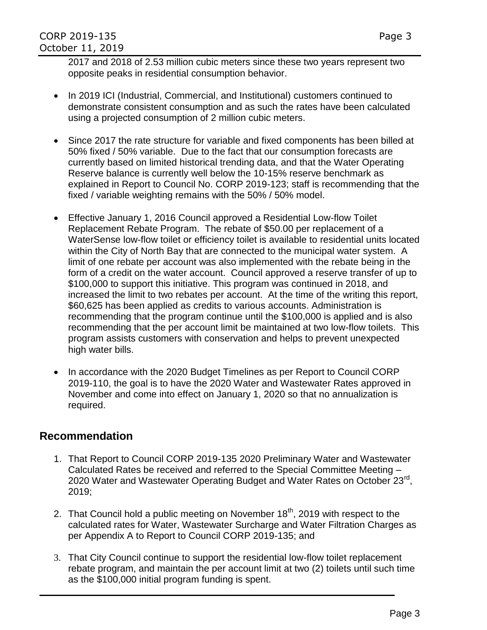2017 and 2018 of 2.53 million cubic meters since these two years represent two opposite peaks in residential consumption behavior.

- In 2019 ICI (Industrial, Commercial, and Institutional) customers continued to demonstrate consistent consumption and as such the rates have been calculated using a projected consumption of 2 million cubic meters.
- Since 2017 the rate structure for variable and fixed components has been billed at 50% fixed / 50% variable. Due to the fact that our consumption forecasts are currently based on limited historical trending data, and that the Water Operating Reserve balance is currently well below the 10-15% reserve benchmark as explained in Report to Council No. CORP 2019-123; staff is recommending that the fixed / variable weighting remains with the 50% / 50% model.
- Effective January 1, 2016 Council approved a Residential Low-flow Toilet Replacement Rebate Program. The rebate of \$50.00 per replacement of a WaterSense low-flow toilet or efficiency toilet is available to residential units located within the City of North Bay that are connected to the municipal water system. A limit of one rebate per account was also implemented with the rebate being in the form of a credit on the water account. Council approved a reserve transfer of up to \$100,000 to support this initiative. This program was continued in 2018, and increased the limit to two rebates per account. At the time of the writing this report, \$60,625 has been applied as credits to various accounts. Administration is recommending that the program continue until the \$100,000 is applied and is also recommending that the per account limit be maintained at two low-flow toilets. This program assists customers with conservation and helps to prevent unexpected high water bills.
- In accordance with the 2020 Budget Timelines as per Report to Council CORP 2019-110, the goal is to have the 2020 Water and Wastewater Rates approved in November and come into effect on January 1, 2020 so that no annualization is required.

# **Recommendation**

- 1. That Report to Council CORP 2019-135 2020 Preliminary Water and Wastewater Calculated Rates be received and referred to the Special Committee Meeting – 2020 Water and Wastewater Operating Budget and Water Rates on October 23<sup>rd</sup>, 2019;
- 2. That Council hold a public meeting on November  $18<sup>th</sup>$ , 2019 with respect to the calculated rates for Water, Wastewater Surcharge and Water Filtration Charges as per Appendix A to Report to Council CORP 2019-135; and
- 3. That City Council continue to support the residential low-flow toilet replacement rebate program, and maintain the per account limit at two (2) toilets until such time as the \$100,000 initial program funding is spent.